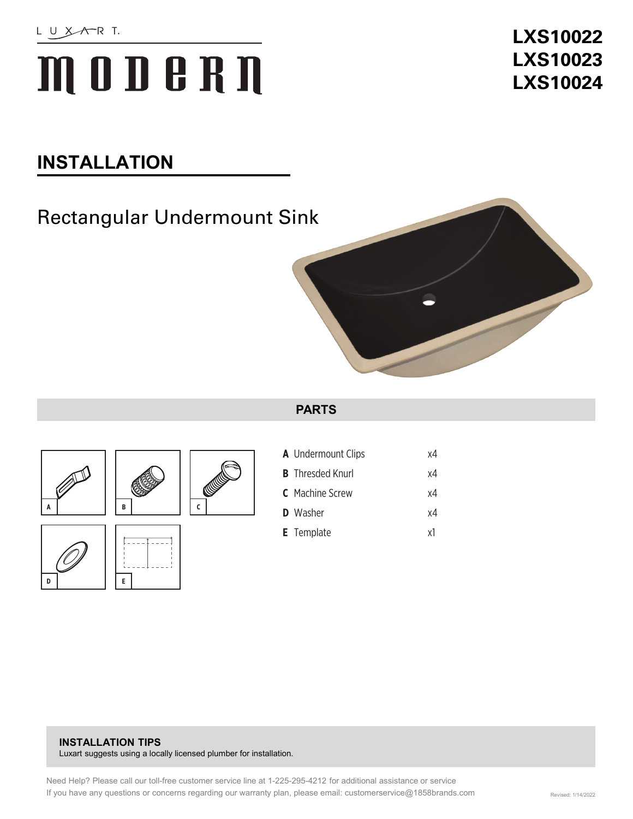# MOD BRN

## **LXS10022 LXS10023 LXS10024**

## **INSTALLATION**

## Rectangular Undermount Sink



#### **PARTS**







| <b>A</b> Undermount Clips | x4 |
|---------------------------|----|
| <b>B</b> Thresded Knurl   | x4 |
| <b>C</b> Machine Screw    | x4 |
| <b>D</b> Washer           | xΔ |
| <b>E</b> Template         | ٧l |

#### **INSTALLATION TIPS**  Luxart suggests using a locally licensed plumber for installation.

Need Help? Please call our toll-free customer service line at 1-225-295-4212 for additional assistance or service If you have any questions or concerns regarding our warranty plan, please email: customerservice@1858brands.com Revised: 1/14/2022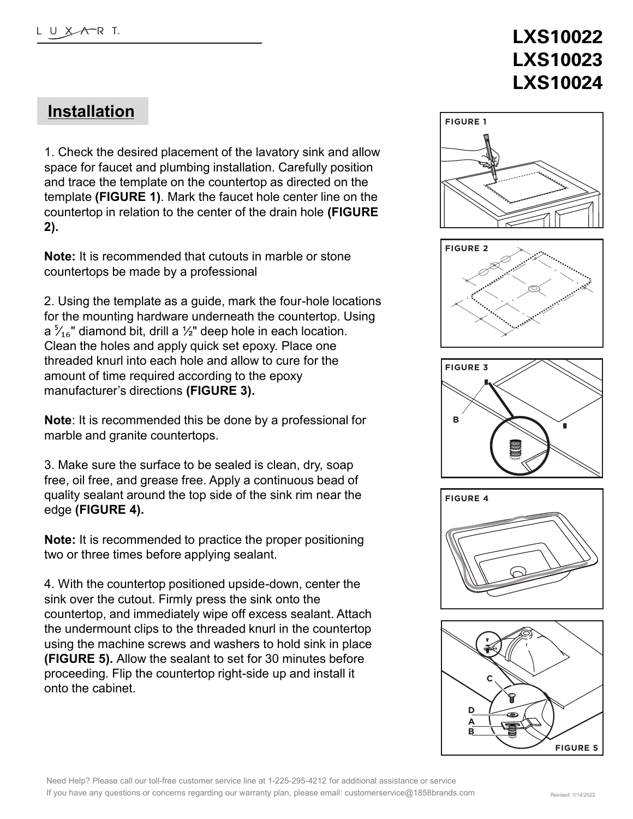## **LXS10022 LXS10023 LXS10024**

### **Installation**

1. Check the desired placement of the lavatory sink and allow space for faucet and plumbing installation. Carefully position and trace the template on the countertop as directed on the template **(FIGURE 1)**. Mark the faucet hole center line on the countertop in relation to the center of the drain hole **(FIGURE 2).** 

**Note:** It is recommended that cutouts in marble or stone countertops be made by a professional

2. Using the template as a guide, mark the four-hole locations for the mounting hardware underneath the countertop. Using a  $\frac{5}{16}$ " diamond bit, drill a ½" deep hole in each location. Clean the holes and apply quick set epoxy. Place one threaded knurl into each hole and allow to cure for the amount of time required according to the epoxy manufacturer's directions **(FIGURE 3).**

**Note**: It is recommended this be done by a professional for marble and granite countertops.

3. Make sure the surface to be sealed is clean, dry, soap free, oil free, and grease free. Apply a continuous bead of quality sealant around the top side of the sink rim near the edge **(FIGURE 4).**

**Note:** It is recommended to practice the proper positioning two or three times before applying sealant.

4. With the countertop positioned upside-down, center the sink over the cutout. Firmly press the sink onto the countertop, and immediately wipe off excess sealant. Attach the undermount clips to the threaded knurl in the countertop using the machine screws and washers to hold sink in place **(FIGURE 5).** Allow the sealant to set for 30 minutes before proceeding. Flip the countertop right-side up and install it onto the cabinet.